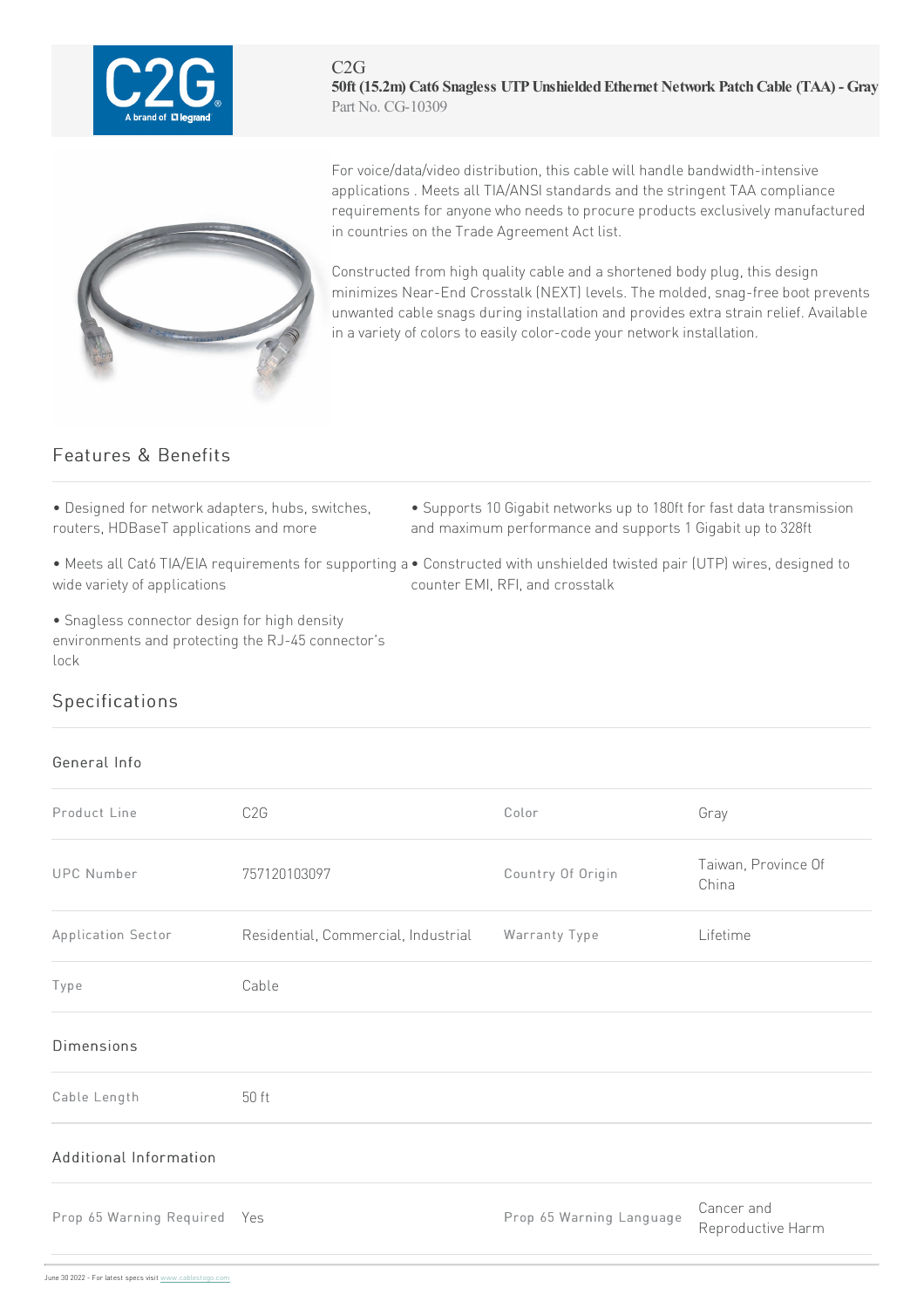

 $C2G$ **50ft (15.2m) Cat6 Snagless UTPUnshieldedEthernet Network PatchCable (TAA) - Gray** Part No. CG-10309



For voice/data/video distribution, this cable will handle bandwidth-intensive applications . Meets all TIA/ANSI standards and the stringent TAA compliance requirements for anyone who needs to procure products exclusively manufactured in countries on the Trade Agreement Act list.

Constructed from high quality cable and a shortened body plug, this design minimizes Near-End Crosstalk (NEXT) levels. The molded, snag-free boot prevents unwanted cable snags during installation and provides extra strain relief. Available in a variety of colors to easily color-code your network installation.

## Features & Benefits

• Designed for network adapters, hubs, switches, routers, HDBaseT applications and more

- Supports 10 Gigabit networks up to 180ft for fast data transmission and maximum performance and supports 1 Gigabit up to 328ft
- Meets all Cat6 TIA/EIA requirements for supporting a Constructed with unshielded twisted pair (UTP) wires, designed to wide variety of applications

• Snagless connector design for high density environments and protecting the RJ-45 connector's lock

counter EMI, RFI, and crosstalk

## Specifications

## General Info

| Product Line                 | C <sub>2</sub> G                    | Color                    | Gray                            |
|------------------------------|-------------------------------------|--------------------------|---------------------------------|
| <b>UPC Number</b>            | 757120103097                        | Country Of Origin        | Taiwan, Province Of<br>China    |
| Application Sector           | Residential, Commercial, Industrial | Warranty Type            | Lifetime                        |
| Type                         | Cable                               |                          |                                 |
| <b>Dimensions</b>            |                                     |                          |                                 |
| Cable Length                 | 50 ft                               |                          |                                 |
| Additional Information       |                                     |                          |                                 |
| Prop 65 Warning Required Yes |                                     | Prop 65 Warning Language | Cancer and<br>Reproductive Harm |